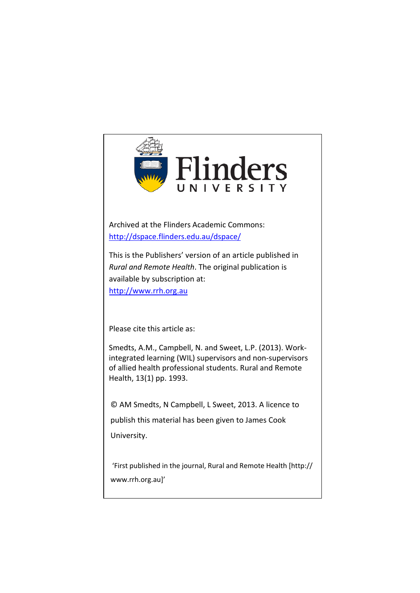

Archived at the Flinders Academic Commons: <http://dspace.flinders.edu.au/dspace/>

This is the Publishers' version of an article published in *Rural and Remote Health*. The original publication is available by subscription at: http://www.rrh.org.au

Please cite this article as:

Smedts, A.M., Campbell, N. and Sweet, L.P. (2013). Workintegrated learning (WIL) supervisors and non-supervisors of allied health professional students. Rural and Remote Health, 13(1) pp. 1993.

© AM Smedts, N Campbell, L Sweet, 2013. A licence to

publish this material has been given to James Cook

University.

 'First published in the journal, Rural and Remote Health [http:// www.rrh.org.au]'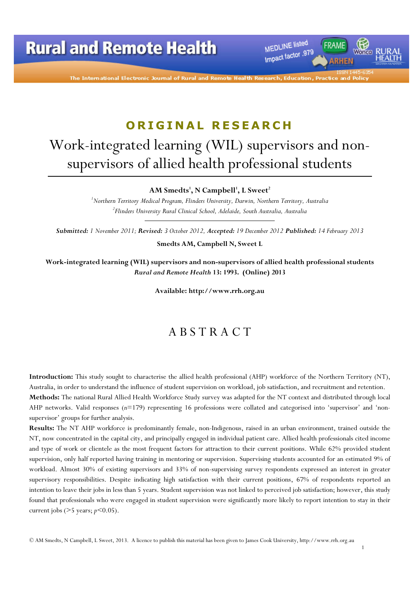MEDLINE listed Impact factor .979

The International Electronic Journal of Rural and Remot

# ORIGINAL RESEARCH

# Work-integrated learning (WIL) supervisors and nonsupervisors of allied health professional students

#### AM Smedts<sup>1</sup>, N Campbell<sup>1</sup>, L Sweet<sup>2</sup>

<sup>1</sup>Northern Territory Medical Program, Flinders University, Darwin, Northern Territory, Australia  $^{2}$ Flinders University Rural Clinical School, Adelaide, South Australia, Australia

Submitted: 1 November 2011; Revised: 3 October 2012, Accepted: 19 December 2012 Published: 14 February 2013

Smedts AM, Campbell N, Sweet L

Work-integrated learning (WIL) supervisors and non-supervisors of allied health professional students Rural and Remote Health 13: 1993. (Online) 2013

Available: http://www.rrh.org.au

### A B S T R A C T

Introduction: This study sought to characterise the allied health professional (AHP) workforce of the Northern Territory (NT), Australia, in order to understand the influence of student supervision on workload, job satisfaction, and recruitment and retention. Methods: The national Rural Allied Health Workforce Study survey was adapted for the NT context and distributed through local AHP networks. Valid responses  $(n=179)$  representing 16 professions were collated and categorised into 'supervisor' and 'nonsupervisor' groups for further analysis.

Results: The NT AHP workforce is predominantly female, non-Indigenous, raised in an urban environment, trained outside the NT, now concentrated in the capital city, and principally engaged in individual patient care. Allied health professionals cited income and type of work or clientele as the most frequent factors for attraction to their current positions. While 62% provided student supervision, only half reported having training in mentoring or supervision. Supervising students accounted for an estimated 9% of workload. Almost 30% of existing supervisors and 33% of non-supervising survey respondents expressed an interest in greater supervisory responsibilities. Despite indicating high satisfaction with their current positions, 67% of respondents reported an intention to leave their jobs in less than 5 years. Student supervision was not linked to perceived job satisfaction; however, this study found that professionals who were engaged in student supervision were significantly more likely to report intention to stay in their current jobs ( $>5$  years;  $p<0.05$ ).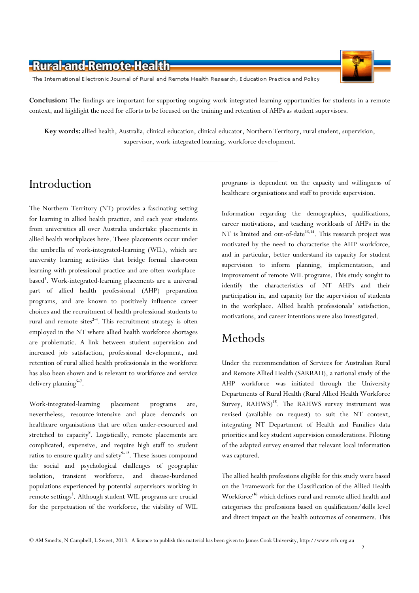The International Electronic Journal of Rural and Remote Health Research, Education Practice and Policy

Conclusion: The findings are important for supporting ongoing work-integrated learning opportunities for students in a remote context, and highlight the need for efforts to be focused on the training and retention of AHPs as student supervisors.

Key words: allied health, Australia, clinical education, clinical educator, Northern Territory, rural student, supervision, supervisor, work-integrated learning, workforce development.

### Introduction

The Northern Territory (NT) provides a fascinating setting for learning in allied health practice, and each year students from universities all over Australia undertake placements in allied health workplaces here. These placements occur under the umbrella of work-integrated-learning (WIL), which are university learning activities that bridge formal classroom learning with professional practice and are often workplacebased<sup>1</sup>. Work-integrated-learning placements are a universal part of allied health professional (AHP) preparation programs, and are known to positively influence career choices and the recruitment of health professional students to rural and remote sites<sup>2-4</sup>. This recruitment strategy is often employed in the NT where allied health workforce shortages are problematic. A link between student supervision and increased job satisfaction, professional development, and retention of rural allied health professionals in the workforce has also been shown and is relevant to workforce and service delivery planning<sup>5-7</sup>.

Work-integrated-learning placement programs are, nevertheless, resource-intensive and place demands on healthcare organisations that are often under-resourced and stretched to capacity<sup>8</sup>. Logistically, remote placements are complicated, expensive, and require high staff to student ratios to ensure quality and safety $9-12$ . These issues compound the social and psychological challenges of geographic isolation, transient workforce, and disease-burdened populations experienced by potential supervisors working in remote settings<sup>3</sup>. Although student WIL programs are crucial for the perpetuation of the workforce, the viability of WIL

programs is dependent on the capacity and willingness of healthcare organisations and staff to provide supervision.

Information regarding the demographics, qualifications, career motivations, and teaching workloads of AHPs in the NT is limited and out-of-date<sup>13,14</sup>. This research project was motivated by the need to characterise the AHP workforce, and in particular, better understand its capacity for student supervision to inform planning, implementation, and improvement of remote WIL programs. This study sought to identify the characteristics of NT AHPs and their participation in, and capacity for the supervision of students in the workplace. Allied health professionals' satisfaction, motivations, and career intentions were also investigated.

# Methods

Under the recommendation of Services for Australian Rural and Remote Allied Health (SARRAH), a national study of the AHP workforce was initiated through the University Departments of Rural Health (Rural Allied Health Workforce Survey, RAHWS)<sup>15</sup>. The RAHWS survey instrument was revised (available on request) to suit the NT context, integrating NT Department of Health and Families data priorities and key student supervision considerations. Piloting of the adapted survey ensured that relevant local information was captured.

The allied health professions eligible for this study were based on the 'Framework for the Classification of the Allied Health Workforce'<sup>16</sup> which defines rural and remote allied health and categorises the professions based on qualification/skills level and direct impact on the health outcomes of consumers. This

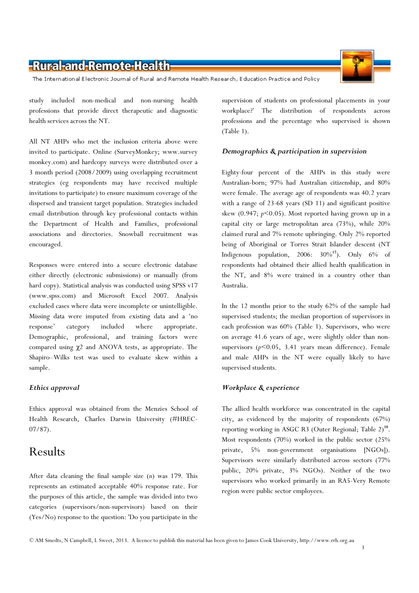The International Electronic Journal of Rural and Remote Health Research, Education Practice and Policy

study included non-medical and non-nursing health professions that provide direct therapeutic and diagnostic health services across the NT.

All NT AHPs who met the inclusion criteria above were invited to participate. Online (SurveyMonkey; www.survey monkey.com) and hardcopy surveys were distributed over a 3 month period (2008/2009) using overlapping recruitment strategies (eg respondents may have received multiple invitations to participate) to ensure maximum coverage of the dispersed and transient target population. Strategies included email distribution through key professional contacts within the Department of Health and Families, professional associations and directories. Snowball recruitment was encouraged.

Responses were entered into a secure electronic database either directly (electronic submissions) or manually (from hard copy). Statistical analysis was conducted using SPSS v17 (www.spss.com) and Microsoft Excel 2007. Analysis excluded cases where data were incomplete or unintelligible. Missing data were imputed from existing data and a 'no response' category included where appropriate. Demographic, professional, and training factors were compared using χ2 and ANOVA tests, as appropriate. The Shapiro–Wilks test was used to evaluate skew within a sample.

#### Ethics approval

Ethics approval was obtained from the Menzies School of Health Research, Charles Darwin University (#HREC-07/87).

# Results

After data cleaning the final sample size  $(n)$  was 179. This represents an estimated acceptable 40% response rate. For the purposes of this article, the sample was divided into two categories (supervisors/non-supervisors) based on their (Yes/No) response to the question: 'Do you participate in the

supervision of students on professional placements in your workplace?' The distribution of respondents across professions and the percentage who supervised is shown (Table 1).

#### Demographics & participation in supervision

Eighty-four percent of the AHPs in this study were Australian-born; 97% had Australian citizenship, and 80% were female. The average age of respondents was 40.2 years with a range of 23-68 years (SD 11) and significant positive skew  $(0.947; p<0.05)$ . Most reported having grown up in a capital city or large metropolitan area (73%), while 20% claimed rural and 7% remote upbringing. Only 2% reported being of Aboriginal or Torres Strait Islander descent (NT Indigenous population,  $2006: 30\%^{17}$ ). Only  $6\%$  of respondents had obtained their allied health qualification in the NT, and 8% were trained in a country other than Australia.

In the 12 months prior to the study 62% of the sample had supervised students; the median proportion of supervisors in each profession was 60% (Table 1). Supervisors, who were on average 41.6 years of age, were slightly older than nonsupervisors  $(p<0.05, 3.41)$  years mean difference). Female and male AHPs in the NT were equally likely to have supervised students.

#### Workplace & experience

The allied health workforce was concentrated in the capital city, as evidenced by the majority of respondents (67%) reporting working in ASGC R3 (Outer Regional; Table 2)<sup>18</sup>. Most respondents (70%) worked in the public sector (25% private, 5% non-government organisations [NGOs]). Supervisors were similarly distributed across sectors (77% public, 20% private, 3% NGOs). Neither of the two supervisors who worked primarily in an RA5-Very Remote region were public sector employees.

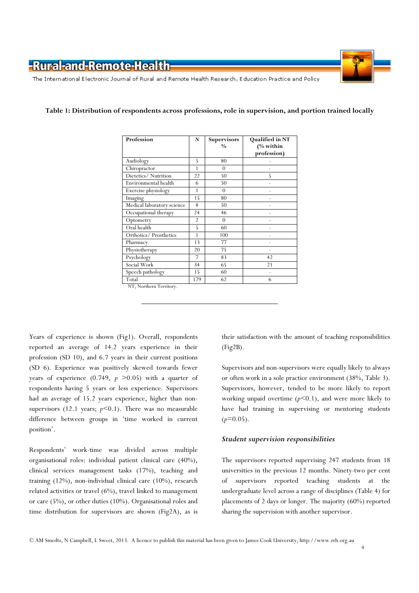The International Electronic Journal of Rural and Remote Health Research, Education Practice and Policy



#### Table 1: Distribution of respondents across professions, role in supervision, and portion trained locally

| Profession                 | N              | Supervisors<br>$\frac{0}{0}$ | Qualified in NT<br>(% within<br>profession) |
|----------------------------|----------------|------------------------------|---------------------------------------------|
| Audiology                  | 5              | 80                           |                                             |
| Chiropractor               | 1              | $\Omega$                     |                                             |
| Dietetics/Nutrition        | 22             | 50                           | 5                                           |
| Environmental health       | 6              | 50                           |                                             |
| Exercise physiology        | 1              | $\theta$                     |                                             |
| Imaging                    | 15             | 80                           |                                             |
| Medical laboratory science | 8              | 50                           |                                             |
| Occupational therapy       | 24             | 46                           |                                             |
| Optometry                  | $\overline{2}$ | $\theta$                     |                                             |
| Oral health                | 5              | 60                           |                                             |
| Orthotics/Prosthetics      | 1              | 100                          |                                             |
| Pharmacy                   | 13             | 77                           |                                             |
| Physiotherapy              | 20             | 75                           |                                             |
| Psychology                 | 7              | 83                           | 42                                          |
| Social Work                | 34             | 65                           | 21                                          |
| Speech pathology           | 15             | 60                           |                                             |
| Total                      | 179            | 62                           | 6                                           |

NT, Northern Territory.

Years of experience is shown (Fig1). Overall, respondents reported an average of 14.2 years experience in their profession (SD 10), and 6.7 years in their current positions (SD 6). Experience was positively skewed towards fewer years of experience (0.749,  $p > 0.05$ ) with a quarter of respondents having 5 years or less experience. Supervisors had an average of 15.2 years experience, higher than nonsupervisors (12.1 years;  $p<0.1$ ). There was no measurable difference between groups in 'time worked in current position'.

Respondents' work-time was divided across multiple organisational roles: individual patient clinical care (40%), clinical services management tasks (17%), teaching and training (12%), non-individual clinical care (10%), research related activities or travel (6%), travel linked to management or care (5%), or other duties (10%). Organisational roles and time distribution for supervisors are shown (Fig2A), as is

their satisfaction with the amount of teaching responsibilities (Fig2B).

Supervisors and non-supervisors were equally likely to always or often work in a sole practice environment (38%, Table 3). Supervisors, however, tended to be more likely to report working unpaid overtime  $(p<0.1)$ , and were more likely to have had training in supervising or mentoring students  $(p=0.05)$ .

#### Student supervision responsibilities

The supervisors reported supervising 247 students from 18 universities in the previous 12 months. Ninety-two per cent of supervisors reported teaching students at the undergraduate level across a range of disciplines (Table 4) for placements of 2 days or longer. The majority (60%) reported sharing the supervision with another supervisor.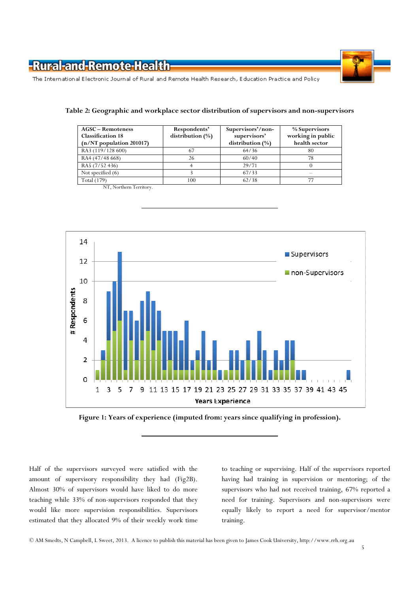

The International Electronic Journal of Rural and Remote Health Research, Education Practice and Policy

| <b>AGSC</b> – Remoteness<br><b>Classification 18</b><br>(n/NT population 201017) | Respondents'<br>distribution (%) | Supervisors'/non-<br>supervisors'<br>distribution $(\%)$ | % Supervisors<br>working in public<br>health sector |
|----------------------------------------------------------------------------------|----------------------------------|----------------------------------------------------------|-----------------------------------------------------|
| RA3 (119/128 600)                                                                | 67                               | 64/36                                                    | 80                                                  |
| RA4 (47/48 668)                                                                  | 26                               | 60/40                                                    | 78                                                  |
| RA5 (7/52 436)                                                                   |                                  | 29/71                                                    |                                                     |
| Not specified (6)                                                                |                                  | 67/33                                                    |                                                     |
| Total (179)                                                                      | 100                              | 62/38                                                    |                                                     |

#### Table 2: Geographic and workplace sector distribution of supervisors and non-supervisors

NT, Northern Territory.





Half of the supervisors surveyed were satisfied with the amount of supervisory responsibility they had (Fig2B). Almost 30% of supervisors would have liked to do more teaching while 33% of non-supervisors responded that they would like more supervision responsibilities. Supervisors estimated that they allocated 9% of their weekly work time to teaching or supervising. Half of the supervisors reported having had training in supervision or mentoring; of the supervisors who had not received training, 67% reported a need for training. Supervisors and non-supervisors were equally likely to report a need for supervisor/mentor training.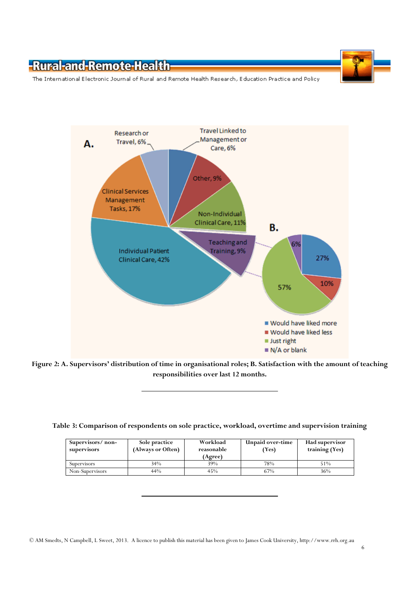

The International Electronic Journal of Rural and Remote Health Research, Education Practice and Policy



Figure 2: A. Supervisors' distribution of time in organisational roles; B. Satisfaction with the amount of teaching responsibilities over last 12 months.

|  | Table 3: Comparison of respondents on sole practice, workload, overtime and supervision training |  |  |  |
|--|--------------------------------------------------------------------------------------------------|--|--|--|
|  |                                                                                                  |  |  |  |

| Supervisors/non-<br>supervisors | Sole practice<br>(Always or Often) | Workload<br>reasonable<br>(Agree) | Unpaid over-time<br>(Yes) | <b>Had supervisor</b><br>training (Yes) |
|---------------------------------|------------------------------------|-----------------------------------|---------------------------|-----------------------------------------|
| Supervisors                     | 34%                                | 39%                               | 78%                       | 51%                                     |
| Non-Supervisors                 | 44%                                | 45%                               | 67%                       | 36%                                     |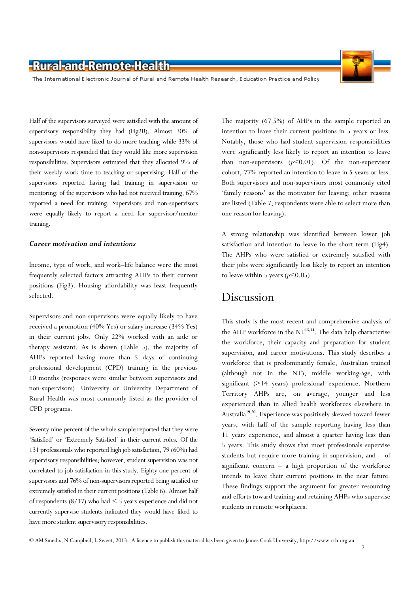The International Electronic Journal of Rural and Remote Health Research, Education Practice and Policy

Half of the supervisors surveyed were satisfied with the amount of supervisory responsibility they had (Fig2B). Almost 30% of supervisors would have liked to do more teaching while 33% of non-supervisors responded that they would like more supervision responsibilities. Supervisors estimated that they allocated 9% of their weekly work time to teaching or supervising. Half of the supervisors reported having had training in supervision or mentoring; of the supervisors who had not received training, 67% reported a need for training. Supervisors and non-supervisors were equally likely to report a need for supervisor/mentor training.

#### Career motivation and intentions

Income, type of work, and work–life balance were the most frequently selected factors attracting AHPs to their current positions (Fig3). Housing affordability was least frequently selected.

Supervisors and non-supervisors were equally likely to have received a promotion (40% Yes) or salary increase (34% Yes) in their current jobs. Only 22% worked with an aide or therapy assistant. As is shown (Table 5), the majority of AHPs reported having more than 5 days of continuing professional development (CPD) training in the previous 10 months (responses were similar between supervisors and non-supervisors). University or University Department of Rural Health was most commonly listed as the provider of CPD programs.

Seventy-nine percent of the whole sample reported that they were 'Satisfied' or 'Extremely Satisfied' in their current roles. Of the 131 professionals who reported high job satisfaction, 79 (60%) had supervisory responsibilities; however, student supervision was not correlated to job satisfaction in this study. Eighty-one percent of supervisors and 76% of non-supervisors reported being satisfied or extremely satisfied in their current positions (Table 6). Almost half of respondents (8/17) who had < 5 years experience and did not currently supervise students indicated they would have liked to have more student supervisory responsibilities.

The majority (67.5%) of AHPs in the sample reported an intention to leave their current positions in 5 years or less. Notably, those who had student supervision responsibilities were significantly less likely to report an intention to leave than non-supervisors  $(p<0.01)$ . Of the non-supervisor cohort, 77% reported an intention to leave in 5 years or less. Both supervisors and non-supervisors most commonly cited 'family reasons' as the motivator for leaving; other reasons are listed (Table 7; respondents were able to select more than one reason for leaving).

A strong relationship was identified between lower job satisfaction and intention to leave in the short-term (Fig4). The AHPs who were satisfied or extremely satisfied with their jobs were significantly less likely to report an intention to leave within 5 years  $(p<0.05)$ .

#### Discussion

This study is the most recent and comprehensive analysis of the AHP workforce in the  $NT^{13,14}$ . The data help characterise the workforce, their capacity and preparation for student supervision, and career motivations. This study describes a workforce that is predominantly female, Australian trained (although not in the NT), middle working-age, with significant (>14 years) professional experience. Northern Territory AHPs are, on average, younger and less experienced than in allied health workforces elsewhere in Australia<sup>19,20</sup>. Experience was positively skewed toward fewer years, with half of the sample reporting having less than 11 years experience, and almost a quarter having less than 5 years. This study shows that most professionals supervise students but require more training in supervision, and – of significant concern – a high proportion of the workforce intends to leave their current positions in the near future. These findings support the argument for greater resourcing and efforts toward training and retaining AHPs who supervise students in remote workplaces.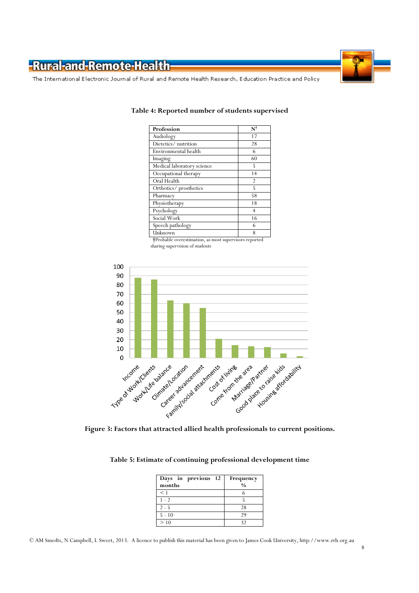

The International Electronic Journal of Rural and Remote Health Research, Education Practice and Policy

| $\mathbf{N}^\dagger$ |
|----------------------|
| 17                   |
| 28                   |
| 6                    |
| 60                   |
| 5                    |
| 14                   |
| $\overline{2}$       |
| 5                    |
| 58                   |
| 18                   |
| $\overline{4}$       |
| 16                   |
| 6                    |
| 8                    |
|                      |

#### Table 4: Reported number of students supervised

 †Probable overestimation, as most supervisors reported sharing supervision of students



| Table 5: Estimate of continuing professional development time |  |  |
|---------------------------------------------------------------|--|--|
|---------------------------------------------------------------|--|--|

| Days in previous 12<br>months | Frequency<br>$\frac{0}{0}$ |
|-------------------------------|----------------------------|
| $<$ 1                         |                            |
| $1 - 2$                       |                            |
| $2 - 5$                       | 28                         |
| $5 - 10$                      | 29                         |
| >10                           | 32                         |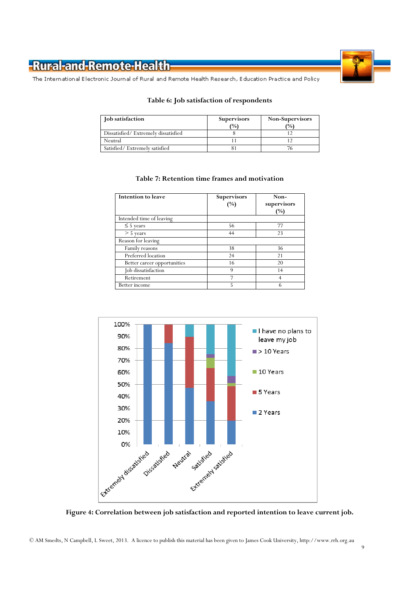

The International Electronic Journal of Rural and Remote Health Research, Education Practice and Policy

#### Table 6: Job satisfaction of respondents

| Job satisfaction                    | <b>Supervisors</b><br>$\frac{10}{6}$ | Non-Supervisors<br>(0/0) |
|-------------------------------------|--------------------------------------|--------------------------|
| Dissatisfied/Extremely dissatisfied |                                      |                          |
| Neutral                             |                                      |                          |
| Satisfied/Extremely satisfied       |                                      |                          |

#### Table 7: Retention time frames and motivation

| Intention to leave          | <b>Supervisors</b><br>(%) | Non-<br>supervisors<br>(%) |
|-----------------------------|---------------------------|----------------------------|
| Intended time of leaving    |                           |                            |
| $\leq$ 5 years              | 56                        | 77                         |
| $> 5$ years                 | 44                        | 23                         |
| Reason for leaving          |                           |                            |
| Family reasons              | 38                        | 36                         |
| Preferred location          | 24                        | 21                         |
| Better career opportunities | 16                        | 20                         |
| Job dissatisfaction         | 9                         | 14                         |
| Retirement                  | 7                         | 4                          |
| Better income               | 5                         | 6                          |



Figure 4: Correlation between job satisfaction and reported intention to leave current job.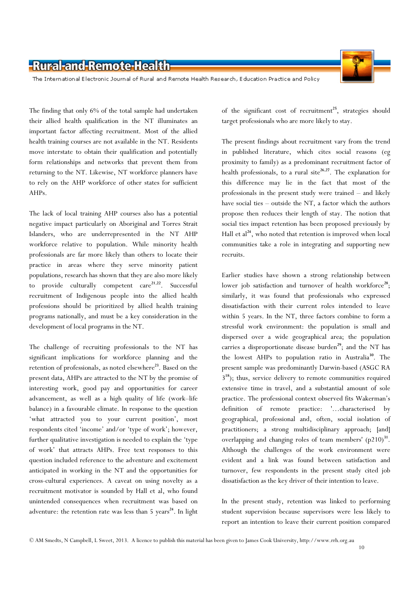

The International Electronic Journal of Rural and Remote Health Research, Education Practice and Policy

The finding that only 6% of the total sample had undertaken their allied health qualification in the NT illuminates an important factor affecting recruitment. Most of the allied health training courses are not available in the NT. Residents move interstate to obtain their qualification and potentially form relationships and networks that prevent them from returning to the NT. Likewise, NT workforce planners have to rely on the AHP workforce of other states for sufficient AHPs.

The lack of local training AHP courses also has a potential negative impact particularly on Aboriginal and Torres Strait Islanders, who are underrepresented in the NT AHP workforce relative to population. While minority health professionals are far more likely than others to locate their practice in areas where they serve minority patient populations, research has shown that they are also more likely to provide culturally competent  $care<sup>21,22</sup>$ . Successful recruitment of Indigenous people into the allied health professions should be prioritized by allied health training programs nationally, and must be a key consideration in the development of local programs in the NT.

The challenge of recruiting professionals to the NT has significant implications for workforce planning and the retention of professionals, as noted elsewhere<sup>23</sup>. Based on the present data, AHPs are attracted to the NT by the promise of interesting work, good pay and opportunities for career advancement, as well as a high quality of life (work–life balance) in a favourable climate. In response to the question 'what attracted you to your current position', most respondents cited 'income' and/or 'type of work'; however, further qualitative investigation is needed to explain the 'type of work' that attracts AHPs. Free text responses to this question included reference to the adventure and excitement anticipated in working in the NT and the opportunities for cross-cultural experiences. A caveat on using novelty as a recruitment motivator is sounded by Hall et al, who found unintended consequences when recruitment was based on adventure: the retention rate was less than  $5$  years<sup>24</sup>. In light

of the significant cost of recruitment<sup>25</sup>, strategies should target professionals who are more likely to stay.

The present findings about recruitment vary from the trend in published literature, which cites social reasons (eg proximity to family) as a predominant recruitment factor of health professionals, to a rural site<sup>26,27</sup>. The explanation for this difference may lie in the fact that most of the professionals in the present study were trained – and likely have social ties – outside the NT, a factor which the authors propose then reduces their length of stay. The notion that social ties impact retention has been proposed previously by Hall et  $al^{24}$ , who noted that retention is improved when local communities take a role in integrating and supporting new recruits.

Earlier studies have shown a strong relationship between lower job satisfaction and turnover of health workforce<sup>28</sup>; similarly, it was found that professionals who expressed dissatisfaction with their current roles intended to leave within 5 years. In the NT, three factors combine to form a stressful work environment: the population is small and dispersed over a wide geographical area; the population carries a disproportionate disease burden<sup>29</sup>; and the NT has the lowest AHPs to population ratio in Australia<sup>30</sup>. The present sample was predominantly Darwin-based (ASGC RA 3 <sup>18</sup>); thus, service delivery to remote communities required extensive time in travel, and a substantial amount of sole practice. The professional context observed fits Wakerman's definition of remote practice: '…characterised by geographical, professional and, often, social isolation of practitioners; a strong multidisciplinary approach; [and] overlapping and changing roles of team members'  $(p210)^{31}$ . Although the challenges of the work environment were evident and a link was found between satisfaction and turnover, few respondents in the present study cited job dissatisfaction as the key driver of their intention to leave.

In the present study, retention was linked to performing student supervision because supervisors were less likely to report an intention to leave their current position compared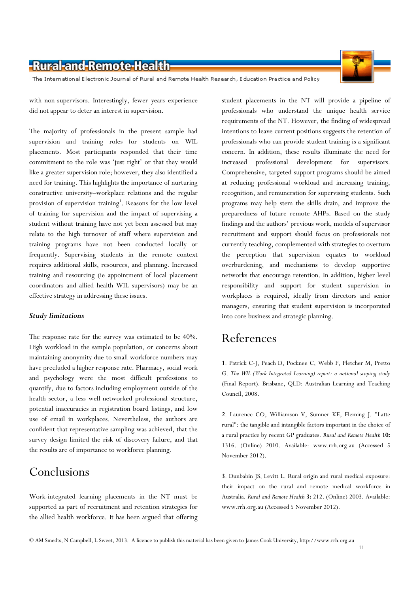The International Electronic Journal of Rural and Remote Health Research, Education Practice and Policy

with non-supervisors. Interestingly, fewer years experience did not appear to deter an interest in supervision.

The majority of professionals in the present sample had supervision and training roles for students on WIL placements. Most participants responded that their time commitment to the role was 'just right' or that they would like a greater supervision role; however, they also identified a need for training. This highlights the importance of nurturing constructive university–workplace relations and the regular provision of supervision training<sup>1</sup>. Reasons for the low level of training for supervision and the impact of supervising a student without training have not yet been assessed but may relate to the high turnover of staff where supervision and training programs have not been conducted locally or frequently. Supervising students in the remote context requires additional skills, resources, and planning. Increased training and resourcing (ie appointment of local placement coordinators and allied health WIL supervisors) may be an effective strategy in addressing these issues.

#### Study limitations

The response rate for the survey was estimated to be 40%. High workload in the sample population, or concerns about maintaining anonymity due to small workforce numbers may have precluded a higher response rate. Pharmacy, social work and psychology were the most difficult professions to quantify, due to factors including employment outside of the health sector, a less well-networked professional structure, potential inaccuracies in registration board listings, and low use of email in workplaces. Nevertheless, the authors are confident that representative sampling was achieved, that the survey design limited the risk of discovery failure, and that the results are of importance to workforce planning.

### Conclusions

Work-integrated learning placements in the NT must be supported as part of recruitment and retention strategies for the allied health workforce. It has been argued that offering student placements in the NT will provide a pipeline of professionals who understand the unique health service requirements of the NT. However, the finding of widespread intentions to leave current positions suggests the retention of professionals who can provide student training is a significant concern. In addition, these results illuminate the need for increased professional development for supervisors. Comprehensive, targeted support programs should be aimed at reducing professional workload and increasing training, recognition, and remuneration for supervising students. Such programs may help stem the skills drain, and improve the preparedness of future remote AHPs. Based on the study findings and the authors' previous work, models of supervisor recruitment and support should focus on professionals not currently teaching, complemented with strategies to overturn the perception that supervision equates to workload overburdening, and mechanisms to develop supportive networks that encourage retention. In addition, higher level responsibility and support for student supervision in workplaces is required, ideally from directors and senior managers, ensuring that student supervision is incorporated into core business and strategic planning.

### References

1. Patrick C-J, Peach D, Pocknee C, Webb F, Fletcher M, Pretto G. The WIL (Work Integrated Learning) report: a national scoping study (Final Report). Brisbane, QLD: Australian Learning and Teaching Council, 2008.

2. Laurence CO, Williamson V, Sumner KE, Fleming J. "Latte rural": the tangible and intangible factors important in the choice of a rural practice by recent GP graduates. Rural and Remote Health 10: 1316. (Online) 2010. Available: www.rrh.org.au (Accessed 5 November 2012).

3. Dunbabin JS, Levitt L. Rural origin and rural medical exposure: their impact on the rural and remote medical workforce in Australia. Rural and Remote Health 3: 212. (Online) 2003. Available: www.rrh.org.au (Accessed 5 November 2012).



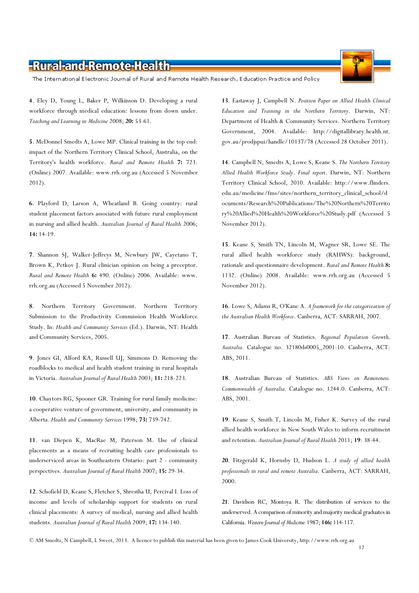The International Electronic Journal of Rural and Remote Health Research, Education Practice and Policy

4. Eley D, Young L, Baker P, Wilkinson D. Developing a rural workforce through medical education: lessons from down under. Teaching and Learning in Medicine 2008; 20: 53-61.

5. McDonnel Smedts A, Lowe MP. Clinical training in the top end: impact of the Northern Territory Clinical School, Australia, on the Territory's health workforce. Rural and Remote Health 7: 723. (Online) 2007. Available: www.rrh.org.au (Accessed 5 November 2012).

6. Playford D, Larson A, Wheatland B. Going country: rural student placement factors associated with future rural employment in nursing and allied health. Australian Journal of Rural Health 2006; 14: 14-19.

7. Shannon SJ, Walker-Jeffreys M, Newbury JW, Cayetano T, Brown K, Petkov J. Rural clinician opinion on being a preceptor. Rural and Remote Health 6: 490. (Online) 2006. Available: www. rrh.org.au (Accessed 5 November 2012).

8. Northern Territory Government. Northern Territory Submission to the Productivity Commission Health Workforce Study. In: Health and Community Services (Ed.). Darwin, NT: Health and Community Services, 2005.

9. Jones GI, Alford KA, Russell UJ, Simmons D. Removing the roadblocks to medical and health student training in rural hospitals in Victoria. Australian Journal of Rural Health 2003; 11: 218-223.

10. Chaytors RG, Spooner GR. Training for rural family medicine: a cooperative venture of government, university, and community in Alberta. Health and Community Services 1998; 73: 739-742.

11. van Diepen K, MacRae M, Paterson M. Use of clinical placements as a means of recruiting health care professionals to underserviced areas in Southeastern Ontario: part 2 - community perspectives. Australian Journal of Rural Health 2007; 15: 29-34.

12. Schofield D, Keane S, Fletcher S, Shrestha U, Percival I. Loss of income and levels of scholarship support for students on rural clinical placements: A survey of medical, nursing and allied health students. Australian Journal of Rural Health 2009; 17: 134-140.

13. Eastaway J, Campbell N. Position Paper on Allied Health Clinical Education and Training in the Northern Territory. Darwin, NT: Department of Health & Community Services. Northern Territory Government, 2004. Available: http://digitallibrary.health.nt. gov.au/prodjspui/handle/10137/78 (Accessed 28 October 2011).

14. Campbell N, Smedts A, Lowe S, Keane S. The Northern Territory Allied Health Workforce Study. Final report. Darwin, NT: Northern Territory Clinical School, 2010. Available: http://www.flinders. edu.au/medicine/fms/sites/northern\_territory\_clinical\_school/d ocuments/Research%20Publications/The%20Northern%20Territo ry%20Allied%20Health%20Workforce%20Study.pdf (Accessed 5 November 2012).

15. Keane S, Smith TN, Lincoln M, Wagner SR, Lowe SE. The rural allied health workforce study (RAHWS): background, rationale and questionnaire development. Rural and Remote Health 8: 1132. (Online) 2008. Available: www.rrh.org.au (Accessed 5 November 2012).

16. Lowe S, Adams R, O'Kane A. A framework for the categorization of the Australian Health Workforce. Canberra, ACT: SARRAH, 2007.

17. Australian Bureau of Statistics. Regional Population Growth, Australia. Catalogue no. 32180ds0005\_2001-10. Canberra, ACT: ABS, 2011.

18. Australian Bureau of Statistics. ABS Views on Remoteness. Commonwealth of Australia. Catalogue no. 1244.0. Canberra, ACT: ABS, 2001.

19. Keane S, Smith T, Lincoln M, Fisher K. Survey of the rural allied health workforce in New South Wales to inform recruitment and retention. Australian Journal of Rural Health 2011; 19: 38-44.

20. Fitzgerald K, Hornsby D, Hudson L. A study of allied health professionals in rural and remote Australia. Canberra, ACT: SARRAH, 2000.

21. Davidson RC, Montoya R. The distribution of services to the underserved. A comparison of minority and majority medical graduates in California. Western Journal of Medicine 1987; 146: 114-117.